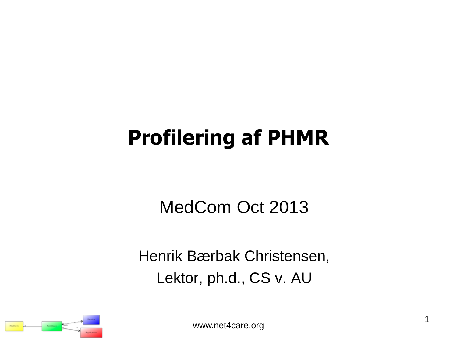# **Profilering af PHMR**

MedCom Oct 2013

Henrik Bærbak Christensen, Lektor, ph.d., CS v. AU

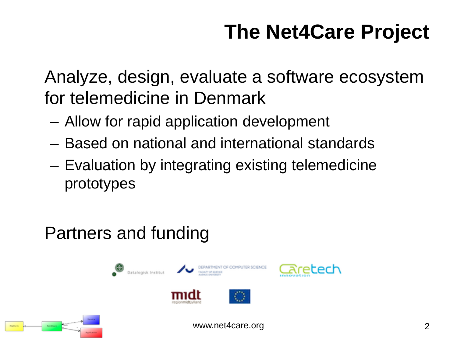# **The Net4Care Project**

Analyze, design, evaluate a software ecosystem for telemedicine in Denmark

- Allow for rapid application development
- Based on national and international standards
- Evaluation by integrating existing telemedicine prototypes

### Partners and funding



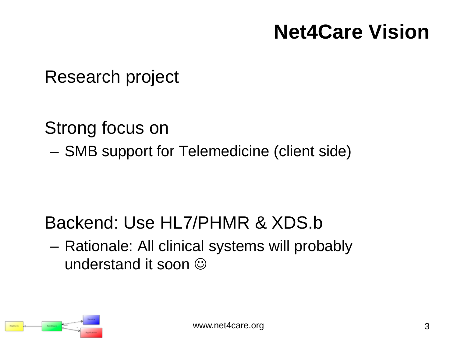# **Net4Care Vision**

Research project

Strong focus on – SMB support for Telemedicine (client side)

### Backend: Use HL7/PHMR & XDS.b

– Rationale: All clinical systems will probably understand it soon  $\odot$ 

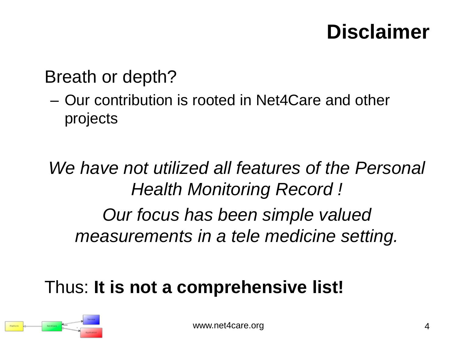# **Disclaimer**

### Breath or depth?

– Our contribution is rooted in Net4Care and other projects

## *We have not utilized all features of the Personal Health Monitoring Record ! Our focus has been simple valued measurements in a tele medicine setting.*

## Thus: **It is not a comprehensive list!**

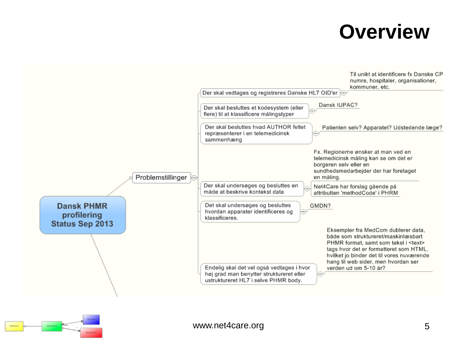## **Overview**



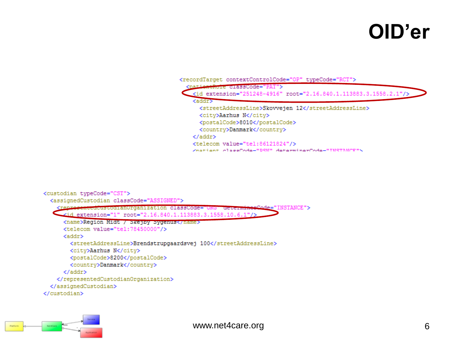## **OID'er**

| <recordtarget contextcontrolcode="0P" typecode="RCT"></recordtarget>  |
|-----------------------------------------------------------------------|
| enthole classCode="PAT">                                              |
| <id extension="251248-4916" root="2.16.840.1.113883.3.1558.2.1"></id> |
| <addr></addr>                                                         |
| <streetaddressline>Skovvejen 12</streetaddressline>                   |
| <city>Aarhus N</city>                                                 |
| <postalcode>8010</postalcode>                                         |
| <country>Danmark</country>                                            |
|                                                                       |
| <telecom value="tel:86121824"></telecom>                              |
| Znatiant classCode-"DSN" determinerCode-"INSTANCE"\                   |
|                                                                       |

```
<custodian typeCode="CST">
  <assignedCustodian classCode="ASSIGNED">
    <reprosentedoustodlan0rganization classCode="ORG" determine?
                                                                 "ode="INSTANCE">
    <id extension="1" root="2.16.840.1.113883.3.1558.10.6.1"/>
      <name>Region Midt / Skejpy Sygenus</name>
      <telecom value="tel:78450000"/>
      <addr>
       <streetAddressLine>Brendstrupgaardsvej 100</streetAddressLine>
       <city>Aarhus N</city>
        <postalCode>8200</postalCode>
       <country>Danmark</country>
      \langle /addr>
   </representedCustodianOrganization>
  </assignedCustodian>
</custodian>
```
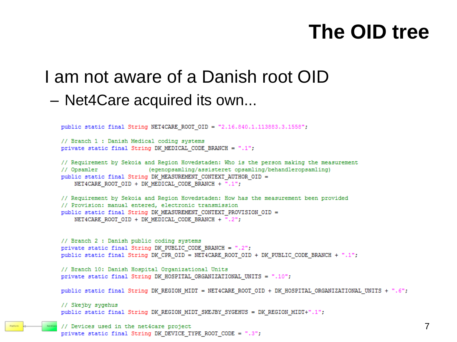## **The OID tree**

### I am not aware of a Danish root OID – Net4Care acquired its own...

```
public static final String NET4CARE ROOT OID = "2.16.840.1.113883.3.1558";
```

```
// Branch 1 : Danish Medical coding systems
private static final String DK MEDICAL CODE BRANCH = ".1";
```

```
// Requirement by Sekoia and Region Hovedstaden: Who is the person making the measurement
                          (egenopsamling/assisteret opsamling/behandleropsamling)
// Opsamler
public static final String DK_MEASUREMENT_CONTEXT_AUTHOR_OID =
    NET4CARE ROOT OID + DK MEDICAL CODE BRANCH + ".1";
```

```
// Requirement by Sekoia and Region Hovedstaden: How has the measurement been provided
// Provision: manual entered, electronic transmission
public static final String DK MEASUREMENT CONTEXT PROVISION OID =
   NET4CARE_ROOT_OID + DK_MEDICAL_CODE_BRANCH + ".2";
```

```
// Branch 2 : Danish public coding systems
private static final String DK_PUBLIC_CODE_BRANCH = ".2";
public static final String DK_CPR_OID = NET4CARE_ROOT_OID + DK_PUBLIC_CODE_BRANCH + ".1";
```

```
// Branch 10: Danish Hospital Organizational Units
private static final String DK HOSPITAL ORGANIZATIONAL UNITS = ".10";
```

```
public static final String DK REGION MIDT = NET4CARE ROOT OID + DK HOSPITAL ORGANIZATIONAL UNITS + ".6";
```

```
// Skejby sygehus
public static final String DK REGION MIDT SKEJBY SYGEHUS = DK REGION MIDT+".1";
```

```
// Devices used in the net4care project
```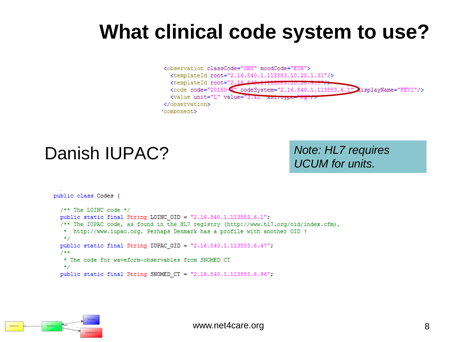## **What clinical code system to use?**



#### Danish IUPAC?

*Note: HL7 requires UCUM for units.*

```
public class Codes {
 /** The LOINC code */public static final String LOINC_OID = "2.16.840.1.113883.6.1";
 /** The IUPAC code, as found in the HL7 registry (http://www.hl7.org/oid/index.cfm),
  * http://www.iupac.org. Perhaps Denmark has a profile with another OID ?
   \star /
 public static final String IUPAC_OID = "2.16.840.1.113883.6.47";
  7**
   * The code for waveform-observables from SNOMED CT
   \star /
 public static final String SNOMED CT = "2.16.840.1.113883.6.96";
```
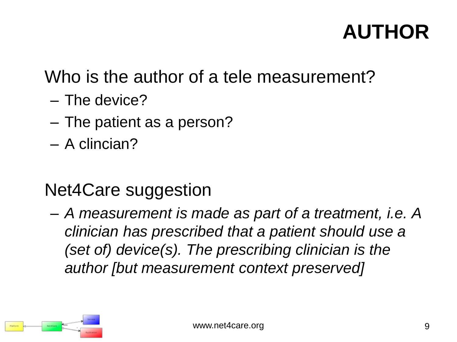# **AUTHOR**

### Who is the author of a tele measurement?

- The device?
- The patient as a person?
- A clincian?

### Net4Care suggestion

– *A measurement is made as part of a treatment, i.e. A clinician has prescribed that a patient should use a (set of) device(s). The prescribing clinician is the author [but measurement context preserved]*

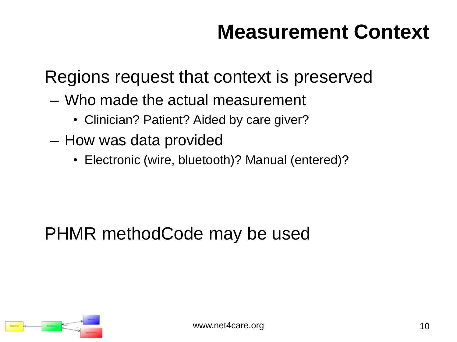# **Measurement Context**

Regions request that context is preserved

- Who made the actual measurement
	- Clinician? Patient? Aided by care giver?
- How was data provided
	- Electronic (wire, bluetooth)? Manual (entered)?

### PHMR methodCode may be used

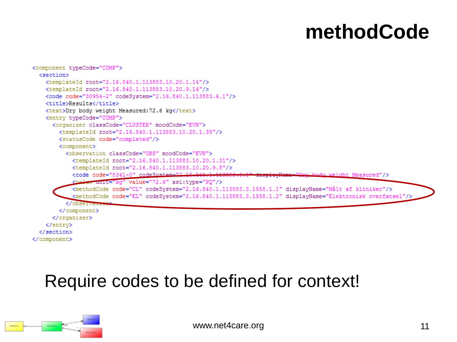## **methodCode**

```
<component typeCode="COMP">
  <section>
    <templateId root="2.16.840.1.113883.10.20.1.14"/>
    <templateId root="2.16.840.1.113883.10.20.9.14"/>
    <code code="30954-2" codeSystem="2.16.840.1.113883.6.1"/>
    <title>Results</title>
    <text>Dry body weight Measured:72.6 kg</text>
    <entry typeCode="COMP">
     <organizer classCode="CLUSTER" moodCode="EVN">
        <templateId root="2.16.840.1.113883.10.20.1.35"/>
        <statusCode code="completed"/>
        <component>
          <observation classCode="OBS" moodCode="EVN">
            <templateId root="2.16.840.1.113883.10.20.1.31"/>
            <templateId root="2.16.840.1.113883.10.20.9.8"/>
            <code code="8341-0" codeSvstem="2.16
                                                                                    body weight Measured"/>
            <walue unit="kg" value="72.6" xsi:type="PQ"/>
            <methodCode code="CL" codeSystem="2.16.840.1.113883.3.1558.1.1" displayName="Målt af kliniker"/>
            <methodCode code="EL" codeSystem="2.16.840.1.113883.3.1558.1.2" displayName="Elektronisk overførsel"/>
          </observation>
        </component>
      </organizer>
    </entry>
  </section>
</component>
```
#### Require codes to be defined for context!

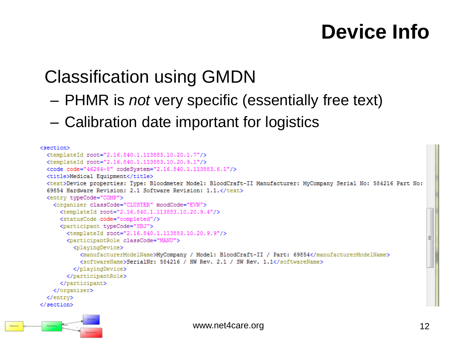## **Device Info**

### Classification using GMDN

- PHMR is *not* very specific (essentially free text)
- Calibration date important for logistics

```
<section>
  <templateId root="2.16.840.1.113883.10.20.1.7"/>
  <templateId root="2.16.840.1.113883.10.20.9.1"/>
  <code code="46264-8" codeSystem="2.16.840.1.113883.6.1"/>
  <title>Medical Equipment</title>
  <text>Device properties: Type: Bloodmeter Model: BloodCraft-II Manufacturer: MyCompany Serial No: 584216 Part No:
  69854 Hardware Revision: 2.1 Software Revision: 1.1.</text>
  <entry typeCode="COMP">
    <organizer classCode="CLUSTER" moodCode="EVN">
      <templateId root="2.16.840.1.113883.10.20.9.4"/>
      <statusCode code="completed"/>
      <participant typeCode="SBJ">
        <templateId root="2.16.840.1.113883.10.20.9.9"/>
        <participantRole classCode="MANU">
          <playingDevice>
            <manufacturerModelName>MyCompany / Model: BloodCraft-II / Part: 69854</manufacturerModelName>
            <softwareName>SerialNr: 584216 / HW Rev. 2.1 / SW Rev. 1.1</softwareName>
          </plavingDevice>
       </participantRole>
      </participant>
    </organizer>
  </entry>
</section>
```
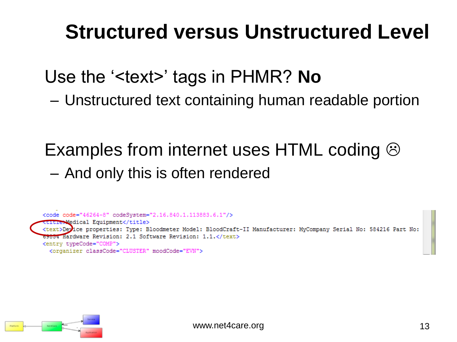# **Structured versus Unstructured Level**

Use the '<text>' tags in PHMR? **No**

– Unstructured text containing human readable portion

### Examples from internet uses HTML coding  $\odot$ – And only this is often rendered



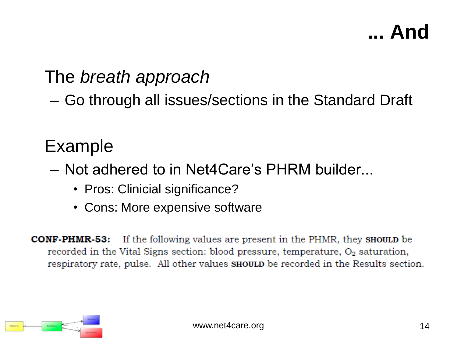# **... And**

### The *breath approach*

– Go through all issues/sections in the Standard Draft

#### Example

- Not adhered to in Net4Care's PHRM builder...
	- Pros: Clinicial significance?
	- Cons: More expensive software

If the following values are present in the PHMR, they **SHOULD** be CONF-PHMR-53: recorded in the Vital Signs section: blood pressure, temperature, O<sub>2</sub> saturation, respiratory rate, pulse. All other values **SHOULD** be recorded in the Results section.

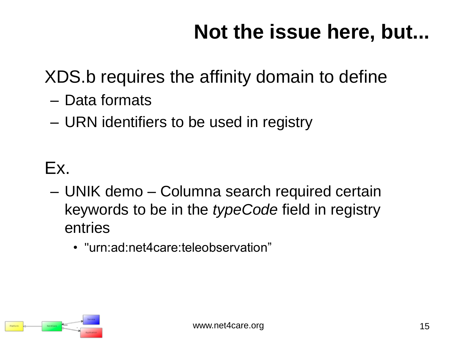# **Not the issue here, but...**

## XDS.b requires the affinity domain to define

- Data formats
- URN identifiers to be used in registry

### Ex.

- UNIK demo Columna search required certain keywords to be in the *typeCode* field in registry entries
	- "urn:ad:net4care:teleobservation"

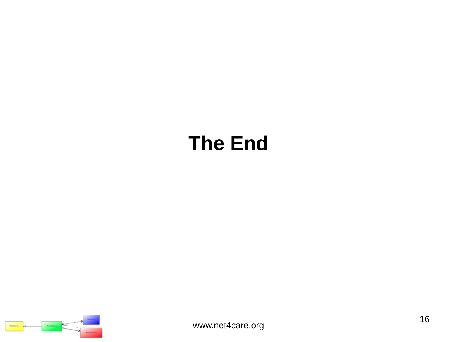# **The End**